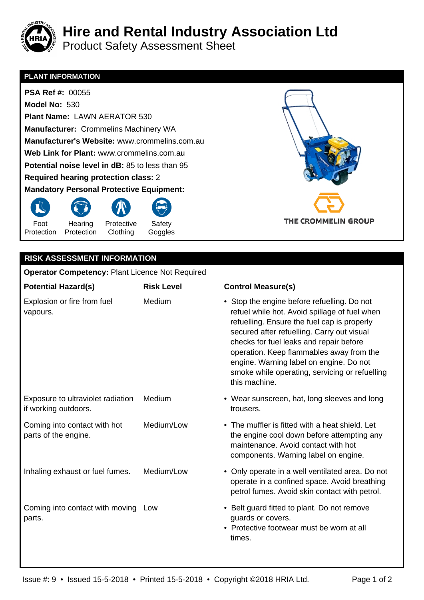

Product Safety Assessment Sheet

## **PLANT INFORMATION**

 **PSA Ref #:** 00055  **Model No:** 530  **Plant Name:** LAWN AERATOR 530  **Manufacturer:** Crommelins Machinery WA  **Manufacturer's Website:** www.crommelins.com.au  **Web Link for Plant:** www.crommelins.com.au  **Potential noise level in dB:** 85 to less than 95  **Required hearing protec[tion class:](http://www.crommelins.com.au)** 2  **Mandatory Persona[l Protective Equipment:](http://www.crommelins.com.au)** 





## **Operator Competency:** Plant Licence Not Required

| <b>Potential Hazard(s)</b>                                | <b>Risk Level</b> | <b>Control Measure(s)</b>                                                                                                                                                                                                                                                                                                                                                                      |
|-----------------------------------------------------------|-------------------|------------------------------------------------------------------------------------------------------------------------------------------------------------------------------------------------------------------------------------------------------------------------------------------------------------------------------------------------------------------------------------------------|
| Explosion or fire from fuel<br>vapours.                   | Medium            | • Stop the engine before refuelling. Do not<br>refuel while hot. Avoid spillage of fuel when<br>refuelling. Ensure the fuel cap is properly<br>secured after refuelling. Carry out visual<br>checks for fuel leaks and repair before<br>operation. Keep flammables away from the<br>engine. Warning label on engine. Do not<br>smoke while operating, servicing or refuelling<br>this machine. |
| Exposure to ultraviolet radiation<br>if working outdoors. | Medium            | • Wear sunscreen, hat, long sleeves and long<br>trousers.                                                                                                                                                                                                                                                                                                                                      |
| Coming into contact with hot<br>parts of the engine.      | Medium/Low        | • The muffler is fitted with a heat shield. Let<br>the engine cool down before attempting any<br>maintenance. Avoid contact with hot<br>components. Warning label on engine.                                                                                                                                                                                                                   |
| Inhaling exhaust or fuel fumes.                           | Medium/Low        | • Only operate in a well ventilated area. Do not<br>operate in a confined space. Avoid breathing<br>petrol fumes. Avoid skin contact with petrol.                                                                                                                                                                                                                                              |
| Coming into contact with moving Low<br>parts.             |                   | • Belt guard fitted to plant. Do not remove<br>guards or covers.<br>• Protective footwear must be worn at all<br>times.                                                                                                                                                                                                                                                                        |

THE CROMMELIN GROUP